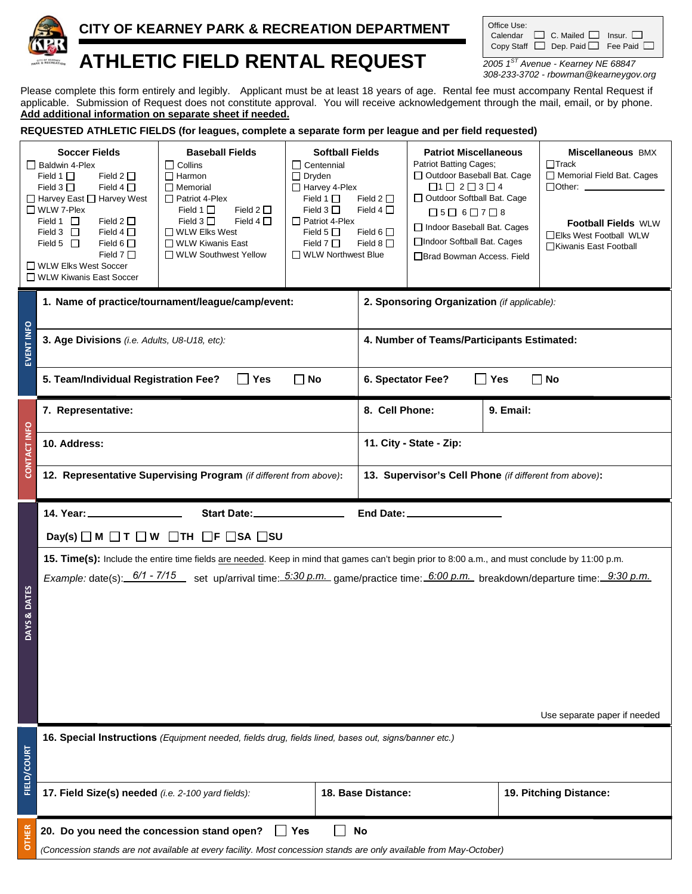

## **CITY OF KEARNEY PARK & RECREATION DEPARTMENT**

| Office Use: |                                                    |  |
|-------------|----------------------------------------------------|--|
|             | Calendar $\Box$ C. Mailed $\Box$ Insur. $\Box$     |  |
|             | Copy Staff $\Box$ Dep. Paid $\Box$ Fee Paid $\Box$ |  |

# **ATHLETIC FIELD RENTAL REQUEST** *2005 1ST Avenue - Kearney NE 68847*

*308-233-3702 - rbowman@kearneygov.org*

Please complete this form entirely and legibly. Applicant must be at least 18 years of age. Rental fee must accompany Rental Request if applicable. Submission of Request does not constitute approval. You will receive acknowledgement through the mail, email, or by phone. **Add additional information on separate sheet if needed.**

**REQUESTED ATHLETIC FIELDS (for leagues, complete a separate form per league and per field requested)**

|                    | <b>Soccer Fields</b><br>Baldwin 4-Plex<br>Field 1 $\Box$<br>Field 2 $\Box$<br>Field $3\Box$<br>Field 4 $\Box$<br>$\Box$ Harvey East $\Box$ Harvey West<br>$\Box$ WLW 7-Plex<br>Field $2 \Box$<br>Field 1 $\Box$<br>Field $3$ $\Box$<br>Field $4\Box$<br>Field 5 $\Box$<br>Field 6 $\Box$<br>Field $7\Box$<br>□ WLW Elks West Soccer<br>□ WLW Kiwanis East Soccer | <b>Baseball Fields</b><br>$\Box$ Collins<br>$\Box$ Harmon<br>$\Box$ Memorial<br>$\Box$ Patriot 4-Plex<br>Field 2 $\Box$<br>Field 1 $\Box$<br>Field $4\Box$<br>Field $3\Box$<br>$\Box$ WLW Elks West<br>$\Box$ WLW Kiwanis East<br>□ WLW Southwest Yellow | <b>Softball Fields</b><br>$\Box$ Centennial<br>$\Box$ Dryden<br>$\Box$ Harvey 4-Plex<br>Field 1 $\Box$<br>Field $3\Box$<br>$\Box$ Patriot 4-Plex<br>Field 5 $\Box$<br>Field $7 \Box$<br>□ WLW Northwest Blue | Field $2\square$<br>Field $4\Box$<br>Field 6 $\Box$<br>Field 8 $\Box$ | <b>Patriot Miscellaneous</b><br><b>Patriot Batting Cages;</b><br>□ Outdoor Baseball Bat. Cage<br>$\Box 1 \Box 2 \Box 3 \Box 4$<br>□ Outdoor Softball Bat. Cage<br>$\Box 5 \Box 6 \Box 7 \Box 8$<br>□ Indoor Baseball Bat. Cages<br>□Indoor Softball Bat. Cages<br>□ Brad Bowman Access. Field |                    | <b>Miscellaneous BMX</b><br>$\Box$ Track<br>Memorial Field Bat. Cages<br>$\Box$ Other: $\_\_\_\_\_\_\_\_\_\_\_\_$<br><b>Football Fields WLW</b><br>□Elks West Football WLW<br>□Kiwanis East Football |
|--------------------|------------------------------------------------------------------------------------------------------------------------------------------------------------------------------------------------------------------------------------------------------------------------------------------------------------------------------------------------------------------|----------------------------------------------------------------------------------------------------------------------------------------------------------------------------------------------------------------------------------------------------------|--------------------------------------------------------------------------------------------------------------------------------------------------------------------------------------------------------------|-----------------------------------------------------------------------|-----------------------------------------------------------------------------------------------------------------------------------------------------------------------------------------------------------------------------------------------------------------------------------------------|--------------------|------------------------------------------------------------------------------------------------------------------------------------------------------------------------------------------------------|
|                    | 1. Name of practice/tournament/league/camp/event:                                                                                                                                                                                                                                                                                                                | 2. Sponsoring Organization (if applicable):                                                                                                                                                                                                              |                                                                                                                                                                                                              |                                                                       |                                                                                                                                                                                                                                                                                               |                    |                                                                                                                                                                                                      |
| EVENT INFO         | 3. Age Divisions (i.e. Adults, U8-U18, etc):                                                                                                                                                                                                                                                                                                                     |                                                                                                                                                                                                                                                          |                                                                                                                                                                                                              | 4. Number of Teams/Participants Estimated:                            |                                                                                                                                                                                                                                                                                               |                    |                                                                                                                                                                                                      |
|                    | 5. Team/Individual Registration Fee?                                                                                                                                                                                                                                                                                                                             | $\Box$ Yes                                                                                                                                                                                                                                               | $\Box$ No                                                                                                                                                                                                    |                                                                       | 6. Spectator Fee?                                                                                                                                                                                                                                                                             | $\blacksquare$ Yes | $\Box$ No                                                                                                                                                                                            |
|                    | 7. Representative:                                                                                                                                                                                                                                                                                                                                               |                                                                                                                                                                                                                                                          |                                                                                                                                                                                                              | 8. Cell Phone:                                                        |                                                                                                                                                                                                                                                                                               | 9. Email:          |                                                                                                                                                                                                      |
| CONTACT INFO       | 10. Address:                                                                                                                                                                                                                                                                                                                                                     |                                                                                                                                                                                                                                                          |                                                                                                                                                                                                              | 11. City - State - Zip:                                               |                                                                                                                                                                                                                                                                                               |                    |                                                                                                                                                                                                      |
|                    |                                                                                                                                                                                                                                                                                                                                                                  | 12. Representative Supervising Program (if different from above):                                                                                                                                                                                        |                                                                                                                                                                                                              |                                                                       | 13. Supervisor's Cell Phone (if different from above):                                                                                                                                                                                                                                        |                    |                                                                                                                                                                                                      |
|                    |                                                                                                                                                                                                                                                                                                                                                                  |                                                                                                                                                                                                                                                          |                                                                                                                                                                                                              |                                                                       |                                                                                                                                                                                                                                                                                               |                    |                                                                                                                                                                                                      |
|                    | 14. Year: _______________                                                                                                                                                                                                                                                                                                                                        | Start Date:___________________                                                                                                                                                                                                                           |                                                                                                                                                                                                              |                                                                       | End Date: _______________                                                                                                                                                                                                                                                                     |                    |                                                                                                                                                                                                      |
|                    | Day(s) $\Box$ M $\Box$ T $\Box$ W                                                                                                                                                                                                                                                                                                                                | $\Box$ th $\Box$ f $\Box$ sa $\Box$ su                                                                                                                                                                                                                   |                                                                                                                                                                                                              |                                                                       |                                                                                                                                                                                                                                                                                               |                    |                                                                                                                                                                                                      |
|                    |                                                                                                                                                                                                                                                                                                                                                                  | 15. Time(s): Include the entire time fields are needed. Keep in mind that games can't begin prior to 8:00 a.m., and must conclude by 11:00 p.m.                                                                                                          |                                                                                                                                                                                                              |                                                                       |                                                                                                                                                                                                                                                                                               |                    |                                                                                                                                                                                                      |
| DAYS & DATES       |                                                                                                                                                                                                                                                                                                                                                                  | Example: date(s): 6/1 - 7/15 set up/arrival time: 5:30 p.m. game/practice time: 6:00 p.m. breakdown/departure time: 9:30 p.m.                                                                                                                            |                                                                                                                                                                                                              |                                                                       |                                                                                                                                                                                                                                                                                               |                    |                                                                                                                                                                                                      |
|                    |                                                                                                                                                                                                                                                                                                                                                                  |                                                                                                                                                                                                                                                          |                                                                                                                                                                                                              |                                                                       |                                                                                                                                                                                                                                                                                               |                    | Use separate paper if needed                                                                                                                                                                         |
|                    |                                                                                                                                                                                                                                                                                                                                                                  | 16. Special Instructions (Equipment needed, fields drug, fields lined, bases out, signs/banner etc.)                                                                                                                                                     |                                                                                                                                                                                                              |                                                                       |                                                                                                                                                                                                                                                                                               |                    |                                                                                                                                                                                                      |
| <b>FIELD/COURT</b> | 17. Field Size(s) needed (i.e. 2-100 yard fields):                                                                                                                                                                                                                                                                                                               |                                                                                                                                                                                                                                                          |                                                                                                                                                                                                              | 18. Base Distance:                                                    |                                                                                                                                                                                                                                                                                               |                    | 19. Pitching Distance:                                                                                                                                                                               |